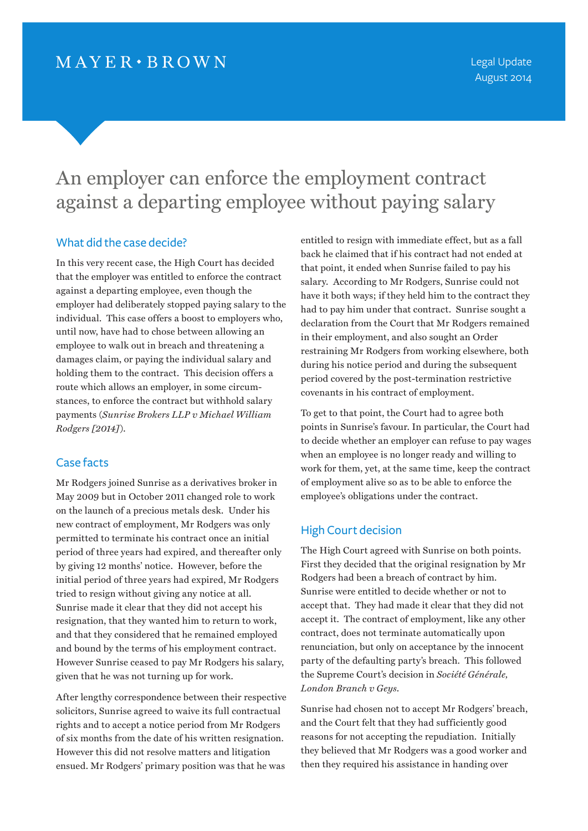# An employer can enforce the employment contract against a departing employee without paying salary

## What did the case decide?

In this very recent case, the High Court has decided that the employer was entitled to enforce the contract against a departing employee, even though the employer had deliberately stopped paying salary to the individual. This case offers a boost to employers who, until now, have had to chose between allowing an employee to walk out in breach and threatening a damages claim, or paying the individual salary and holding them to the contract. This decision offers a route which allows an employer, in some circumstances, to enforce the contract but withhold salary payments (*Sunrise Brokers LLP v Michael William Rodgers [2014]*).

#### Case facts

Mr Rodgers joined Sunrise as a derivatives broker in May 2009 but in October 2011 changed role to work on the launch of a precious metals desk. Under his new contract of employment, Mr Rodgers was only permitted to terminate his contract once an initial period of three years had expired, and thereafter only by giving 12 months' notice. However, before the initial period of three years had expired, Mr Rodgers tried to resign without giving any notice at all. Sunrise made it clear that they did not accept his resignation, that they wanted him to return to work, and that they considered that he remained employed and bound by the terms of his employment contract. However Sunrise ceased to pay Mr Rodgers his salary, given that he was not turning up for work.

After lengthy correspondence between their respective solicitors, Sunrise agreed to waive its full contractual rights and to accept a notice period from Mr Rodgers of six months from the date of his written resignation. However this did not resolve matters and litigation ensued. Mr Rodgers' primary position was that he was

entitled to resign with immediate effect, but as a fall back he claimed that if his contract had not ended at that point, it ended when Sunrise failed to pay his salary. According to Mr Rodgers, Sunrise could not have it both ways; if they held him to the contract they had to pay him under that contract. Sunrise sought a declaration from the Court that Mr Rodgers remained in their employment, and also sought an Order restraining Mr Rodgers from working elsewhere, both during his notice period and during the subsequent period covered by the post-termination restrictive covenants in his contract of employment.

To get to that point, the Court had to agree both points in Sunrise's favour. In particular, the Court had to decide whether an employer can refuse to pay wages when an employee is no longer ready and willing to work for them, yet, at the same time, keep the contract of employment alive so as to be able to enforce the employee's obligations under the contract.

## High Court decision

The High Court agreed with Sunrise on both points. First they decided that the original resignation by Mr Rodgers had been a breach of contract by him. Sunrise were entitled to decide whether or not to accept that. They had made it clear that they did not accept it. The contract of employment, like any other contract, does not terminate automatically upon renunciation, but only on acceptance by the innocent party of the defaulting party's breach. This followed the Supreme Court's decision in *Société Générale, London Branch v Geys*.

Sunrise had chosen not to accept Mr Rodgers' breach, and the Court felt that they had sufficiently good reasons for not accepting the repudiation. Initially they believed that Mr Rodgers was a good worker and then they required his assistance in handing over